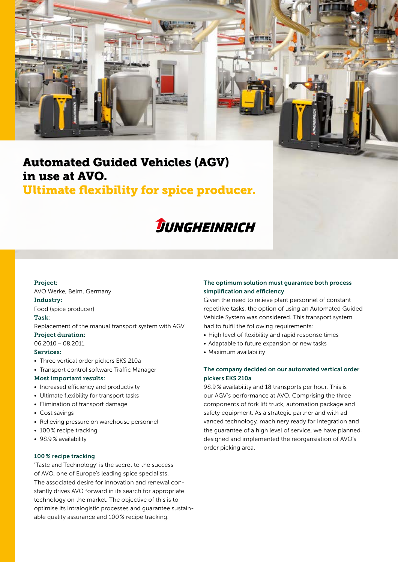

# Automated Guided Vehicles (AGV) in use at AVO.

## Ultimate flexibility for spice producer.



#### Project:

AVO Werke, Belm, Germany

Industry:

Food (spice producer)

### Task:

Replacement of the manual transport system with AGV Project duration:

06.2010 – 08.2011

### Services:

- Three vertical order pickers EKS 210a
- Transport control software Traffic Manager

### Most important results:

- Increased efficiency and productivity
- Ultimate flexibility for transport tasks
- Elimination of transport damage
- Cost savings
- Relieving pressure on warehouse personnel
- 100 % recipe tracking
- 98.9 % availability

### 100 % recipe tracking

'Taste and Technology' is the secret to the success of AVO, one of Europe's leading spice specialists. The associated desire for innovation and renewal constantly drives AVO forward in its search for appropriate technology on the market. The objective of this is to optimise its intralogistic processes and guarantee sustainable quality assurance and 100 % recipe tracking.

### The optimum solution must guarantee both process simplification and efficiency

Given the need to relieve plant personnel of constant repetitive tasks, the option of using an Automated Guided Vehicle System was considered. This transport system had to fulfil the following requirements:

- High level of flexibility and rapid response times
- Adaptable to future expansion or new tasks
- Maximum availability

### The company decided on our automated vertical order pickers EKS 210a

98.9 % availability and 18 transports per hour. This is our AGV's performance at AVO. Comprising the three components of fork lift truck, automation package and safety equipment. As a strategic partner and with advanced technology, machinery ready for integration and the guarantee of a high level of service, we have planned, designed and implemented the reorgansiation of AVO's order picking area.